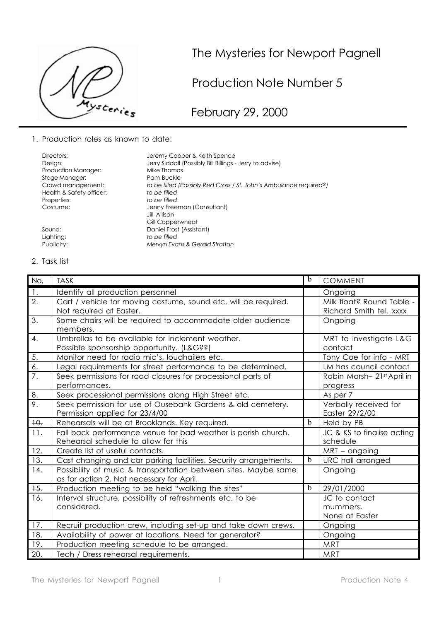

## The Mysteries for Newport Pagnell

Production Note Number 5

February 29, 2000

1. Production roles as known to date:

| Directors:               | Jeremy Cooper & Keith Spence                                       |
|--------------------------|--------------------------------------------------------------------|
| Design:                  | Jerry Siddall (Possibly Bill Billings - Jerry to advise)           |
| Production Manager:      | Mike Thomas                                                        |
| Stage Manager:           | Pam Buckle                                                         |
| Crowd management:        | to be filled (Possibly Red Cross / St. John's Ambulance required?) |
| Health & Safety officer: | to be filled                                                       |
| Properties:              | to be filled                                                       |
| Costume:                 | Jenny Freeman (Consultant)                                         |
|                          | Jill Allison.                                                      |
|                          | Gill Copperwheat                                                   |
| Sound:                   | Daniel Frost (Assistant)                                           |
| Lighting:                | to be filled                                                       |
| Publicity:               | Mervyn Evans & Gerald Stratton                                     |

## 2. Task list

| No,              | <b>TASK</b>                                                                                                  | b            | <b>COMMENT</b>                                       |
|------------------|--------------------------------------------------------------------------------------------------------------|--------------|------------------------------------------------------|
| 1.               | Identify all production personnel                                                                            |              | Ongoing                                              |
| 2.               | Cart / vehicle for moving costume, sound etc. will be required.<br>Not required at Easter.                   |              | Milk float? Round Table -<br>Richard Smith tel. xxxx |
| 3.               | Some chairs will be required to accommodate older audience<br>members.                                       |              | Ongoing                                              |
| 4.               | Umbrellas to be available for inclement weather.<br>Possible sponsorship opportunity. (L&G??)                |              | MRT to investigate L&G<br>contact                    |
| 5.               | Monitor need for radio mic's, loudhailers etc.                                                               |              | Tony Coe for info - MRT                              |
| 6.               | Legal requirements for street performance to be determined.                                                  |              | LM has council contact                               |
| $\overline{7}$ . | Seek permissions for road closures for processional parts of<br>performances.                                |              | Robin Marsh-21st April in<br>progress                |
| 8.               | Seek processional permissions along High Street etc.                                                         |              | As per 7                                             |
| 9.               | Seek permission for use of Ousebank Gardens & old cemetery.<br>Permission applied for 23/4/00                |              | Verbally received for<br>Easter 29/2/00              |
| $+0$ .           | Rehearsals will be at Brooklands. Key required.                                                              | $\mathbf b$  | Held by PB                                           |
| 11.              | Fall back performance venue for bad weather is parish church.<br>Rehearsal schedule to allow for this        |              | JC & KS to finalise acting<br>schedule               |
| 12.              | Create list of useful contacts.                                                                              |              | MRT - ongoing                                        |
| 13.              | Cast changing and car parking facilities. Security arrangements.                                             | <sub>b</sub> | URC hall arranged                                    |
| 14.              | Possibility of music & transportation between sites. Maybe same<br>as for action 2. Not necessary for April. |              | Ongoing                                              |
| $+5.$            | Production meeting to be held "walking the sites"                                                            | $\mathbf b$  | 29/01/2000                                           |
| 16.              | Interval structure, possibility of refreshments etc. to be<br>considered.                                    |              | JC to contact<br>mummers.<br>None at Easter          |
| 17.              | Recruit production crew, including set-up and take down crews.                                               |              | Ongoing                                              |
| 18.              | Availability of power at locations. Need for generator?                                                      |              | Ongoing                                              |
| 19.              | Production meeting schedule to be arranged.                                                                  |              | MRT                                                  |
| 20.              | Tech / Dress rehearsal requirements.                                                                         |              | MRT                                                  |